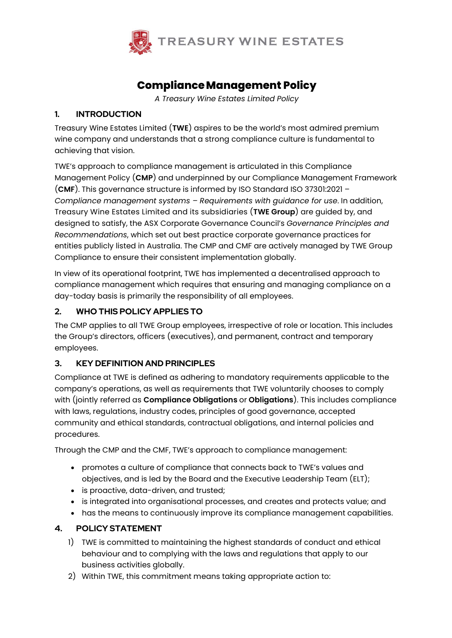

# Compliance Management Policy

A Treasury Wine Estates Limited Policy

## 1. INTRODUCTION

Treasury Wine Estates Limited (TWE) aspires to be the world's most admired premium wine company and understands that a strong compliance culture is fundamental to achieving that vision.

TWE's approach to compliance management is articulated in this Compliance Management Policy (CMP) and underpinned by our Compliance Management Framework (CMF). This governance structure is informed by ISO Standard ISO 37301:2021 – Compliance management systems – Requirements with guidance for use. In addition, Treasury Wine Estates Limited and its subsidiaries (TWE Group) are guided by, and designed to satisfy, the ASX Corporate Governance Council's Governance Principles and Recommendations, which set out best practice corporate governance practices for entities publicly listed in Australia. The CMP and CMF are actively managed by TWE Group Compliance to ensure their consistent implementation globally.

In view of its operational footprint, TWE has implemented a decentralised approach to compliance management which requires that ensuring and managing compliance on a day-today basis is primarily the responsibility of all employees.

# 2. WHO THIS POLICY APPLIES TO

The CMP applies to all TWE Group employees, irrespective of role or location. This includes the Group's directors, officers (executives), and permanent, contract and temporary employees.

# 3. KEY DEFINITION AND PRINCIPLES

Compliance at TWE is defined as adhering to mandatory requirements applicable to the company's operations, as well as requirements that TWE voluntarily chooses to comply with (jointly referred as Compliance Obligations or Obligations). This includes compliance with laws, regulations, industry codes, principles of good governance, accepted community and ethical standards, contractual obligations, and internal policies and procedures.

Through the CMP and the CMF, TWE's approach to compliance management:

- promotes a culture of compliance that connects back to TWE's values and objectives, and is led by the Board and the Executive Leadership Team (ELT);
- is proactive, data-driven, and trusted;
- is integrated into organisational processes, and creates and protects value; and
- has the means to continuously improve its compliance management capabilities.

# 4. POLICY STATEMENT

- 1) TWE is committed to maintaining the highest standards of conduct and ethical behaviour and to complying with the laws and regulations that apply to our business activities globally.
- 2) Within TWE, this commitment means taking appropriate action to: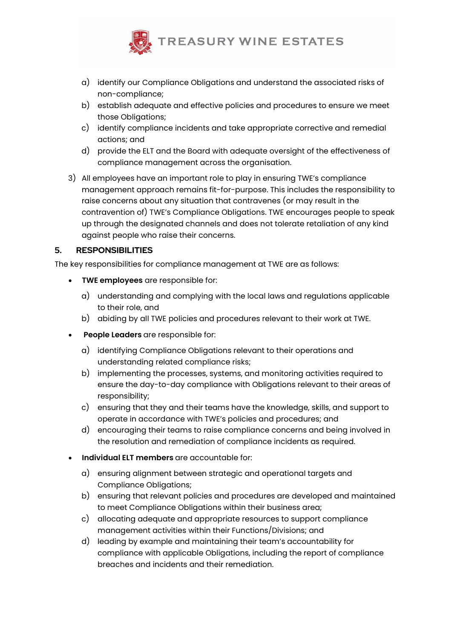

- a) identify our Compliance Obligations and understand the associated risks of non-compliance;
- b) establish adequate and effective policies and procedures to ensure we meet those Obligations;
- c) identify compliance incidents and take appropriate corrective and remedial actions; and
- d) provide the ELT and the Board with adequate oversight of the effectiveness of compliance management across the organisation.
- 3) All employees have an important role to play in ensuring TWE's compliance management approach remains fit-for-purpose. This includes the responsibility to raise concerns about any situation that contravenes (or may result in the contravention of) TWE's Compliance Obligations. TWE encourages people to speak up through the designated channels and does not tolerate retaliation of any kind against people who raise their concerns.

### 5. RESPONSIBILITIES

The key responsibilities for compliance management at TWE are as follows:

- TWE employees are responsible for:
	- a) understanding and complying with the local laws and regulations applicable to their role, and
	- b) abiding by all TWE policies and procedures relevant to their work at TWE.
- People Leaders are responsible for:
	- a) identifying Compliance Obligations relevant to their operations and understanding related compliance risks;
	- b) implementing the processes, systems, and monitoring activities required to ensure the day-to-day compliance with Obligations relevant to their areas of responsibility;
	- c) ensuring that they and their teams have the knowledge, skills, and support to operate in accordance with TWE's policies and procedures; and
	- d) encouraging their teams to raise compliance concerns and being involved in the resolution and remediation of compliance incidents as required.
- Individual ELT members are accountable for:
	- a) ensuring alignment between strategic and operational targets and Compliance Obligations;
	- b) ensuring that relevant policies and procedures are developed and maintained to meet Compliance Obligations within their business area;
	- c) allocating adequate and appropriate resources to support compliance management activities within their Functions/Divisions; and
	- d) leading by example and maintaining their team's accountability for compliance with applicable Obligations, including the report of compliance breaches and incidents and their remediation.